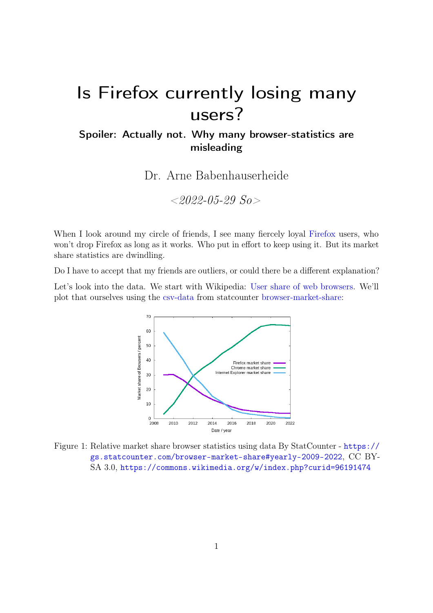# Is Firefox currently losing many users?

# Spoiler: Actually not. Why many browser-statistics are misleading

Dr. Arne Babenhauserheide

 $< 2022 - 05 - 29$  So  $>$ 

When I look around my circle of friends, I see many fiercely loyal [Firefox](https://www.mozilla.org/en-US/firefox/new/) users, who won't drop Firefox as long as it works. Who put in effort to keep using it. But its market share statistics are dwindling.

Do I have to accept that my friends are outliers, or could there be a different explanation?

Let's look into the data. We start with Wikipedia: [User share of web browsers.](https://en.wikipedia.org/wiki/Usage_share_of_web_browsers) We'll plot that ourselves using the [csv-data](https://gs.statcounter.com/chart.php?device=Desktop%20%26%20Mobile%20%26%20Tablet%20%26%20Console&device_hidden=desktop%2Bmobile%2Btablet%2Bconsole&multi-device=true&statType_hidden=browser®ion_hidden=ww&granularity=yearly&statType=Browser®ion=Worldwide&fromInt=2009&toInt=2022&fromYear=2009&toYear=2022&csv=1) from statcounter [browser-market-share:](https://gs.statcounter.com/browser-market-share#yearly-2009-2022)



Figure 1: Relative market share browser statistics using data By StatCounter - [https://](https://gs.statcounter.com/browser-market-share#yearly-2009-2022) [gs.statcounter.com/browser-market-share#yearly-2009-2022](https://gs.statcounter.com/browser-market-share#yearly-2009-2022), CC BY-SA 3.0, <https://commons.wikimedia.org/w/index.php?curid=96191474>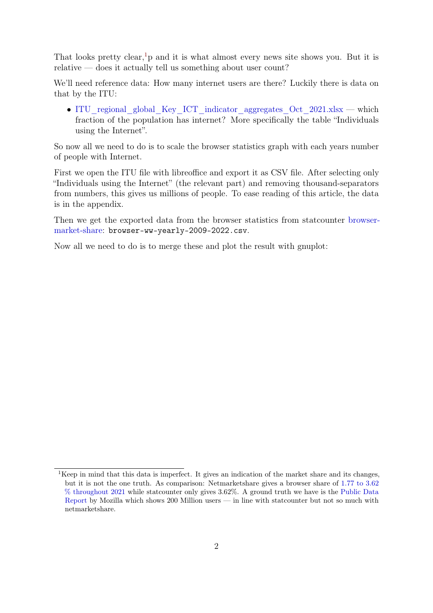That looks pretty clear,  $\frac{1}{1}p$  $\frac{1}{1}p$  $\frac{1}{1}p$  and it is what almost every news site shows you. But it is relative — does it actually tell us something about user count?

We'll need reference data: How many internet users are there? Luckily there is data on that by the ITU:

• ITU regional global Key ICT indicator aggregates Oct 2021.xlsx — which fraction of the population has internet? More specifically the table "Individuals using the Internet".

So now all we need to do is to scale the browser statistics graph with each years number of people with Internet.

First we open the ITU file with libreoffice and export it as CSV file. After selecting only "Individuals using the Internet" (the relevant part) and removing thousand-separators from numbers, this gives us millions of people. To ease reading of this article, the data is in the appendix.

Then we get the exported data from the browser statistics from statcounter [browser](https://gs.statcounter.com/browser-market-share#yearly-2009-2022)[market-share:](https://gs.statcounter.com/browser-market-share#yearly-2009-2022) browser-ww-yearly-2009-2022.csv.

Now all we need to do is to merge these and plot the result with gnuplot:

<span id="page-1-0"></span><sup>&</sup>lt;sup>1</sup>Keep in mind that this data is imperfect. It gives an indication of the market share and its changes, but it is not the one truth. As comparison: Netmarketshare gives a browser share of [1.77 to 3.62](https://netmarketshare.com/browser-market-share.aspx?options=%7B%22filter%22%3A%7B%7D%2C%22dateLabel%22%3A%22Custom%22%2C%22attributes%22%3A%22share%22%2C%22group%22%3A%22browser%22%2C%22sort%22%3A%7B%22share%22%3A-1%7D%2C%22id%22%3A%22browsersDesktop%22%2C%22dateInterval%22%3A%22Monthly%22%2C%22dateStart%22%3A%222020-05%22%2C%22dateEnd%22%3A%222022-04%22%2C%22plotKeys%22%3A%5B%7B%22browser%22%3A%22Firefox%22%7D%5D%2C%22segments%22%3A%22-1000%22%7D) [% throughout 2021](https://netmarketshare.com/browser-market-share.aspx?options=%7B%22filter%22%3A%7B%7D%2C%22dateLabel%22%3A%22Custom%22%2C%22attributes%22%3A%22share%22%2C%22group%22%3A%22browser%22%2C%22sort%22%3A%7B%22share%22%3A-1%7D%2C%22id%22%3A%22browsersDesktop%22%2C%22dateInterval%22%3A%22Monthly%22%2C%22dateStart%22%3A%222020-05%22%2C%22dateEnd%22%3A%222022-04%22%2C%22plotKeys%22%3A%5B%7B%22browser%22%3A%22Firefox%22%7D%5D%2C%22segments%22%3A%22-1000%22%7D) while statcounter only gives 3.62%. A ground truth we have is the [Public Data](https://data.firefox.com/dashboard/user-activity) [Report](https://data.firefox.com/dashboard/user-activity) by Mozilla which shows 200 Million users — in line with statcounter but not so much with netmarketshare.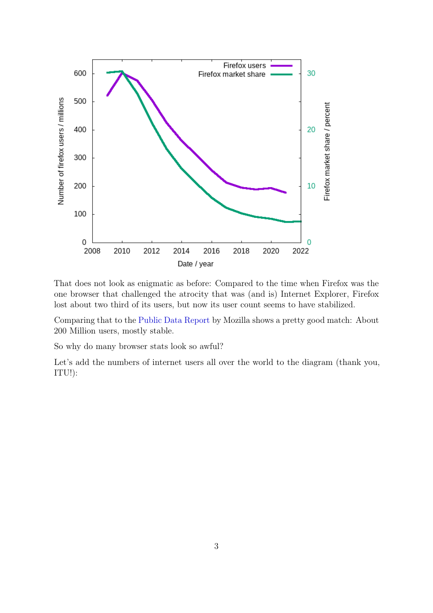

That does not look as enigmatic as before: Compared to the time when Firefox was the one browser that challenged the atrocity that was (and is) Internet Explorer, Firefox lost about two third of its users, but now its user count seems to have stabilized.

Comparing that to the [Public Data Report](https://data.firefox.com/dashboard/user-activity) by Mozilla shows a pretty good match: About 200 Million users, mostly stable.

So why do many browser stats look so awful?

Let's add the numbers of internet users all over the world to the diagram (thank you, ITU!):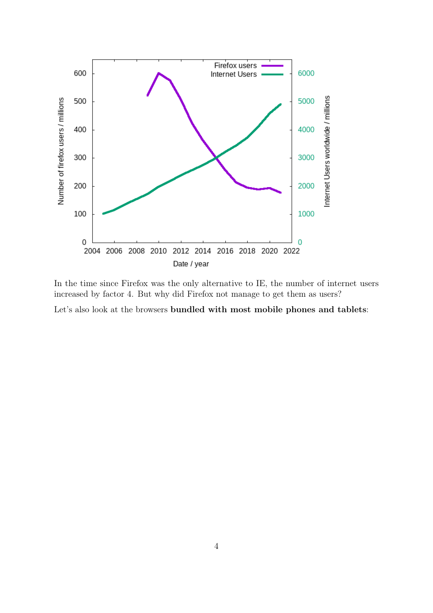

In the time since Firefox was the only alternative to IE, the number of internet users increased by factor 4. But why did Firefox not manage to get them as users?

Let's also look at the browsers bundled with most mobile phones and tablets: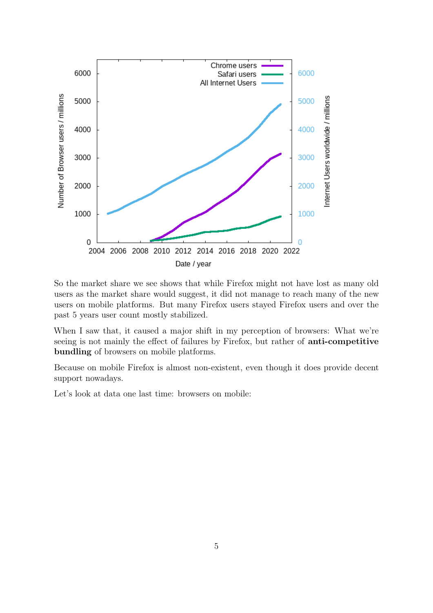

So the market share we see shows that while Firefox might not have lost as many old users as the market share would suggest, it did not manage to reach many of the new users on mobile platforms. But many Firefox users stayed Firefox users and over the past 5 years user count mostly stabilized.

When I saw that, it caused a major shift in my perception of browsers: What we're seeing is not mainly the effect of failures by Firefox, but rather of anti-competitive bundling of browsers on mobile platforms.

Because on mobile Firefox is almost non-existent, even though it does provide decent support nowadays.

Let's look at data one last time: browsers on mobile: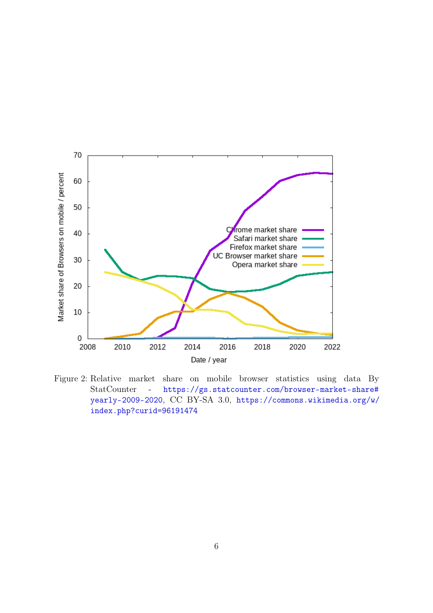

Figure 2: Relative market share on mobile browser statistics using data By StatCounter - [https://gs.statcounter.com/browser-market-share#](https://gs.statcounter.com/browser-market-share#yearly-2009-2020) [yearly-2009-2020](https://gs.statcounter.com/browser-market-share#yearly-2009-2020), CC BY-SA 3.0, [https://commons.wikimedia.org/w/](https://commons.wikimedia.org/w/index.php?curid=96191474) [index.php?curid=96191474](https://commons.wikimedia.org/w/index.php?curid=96191474)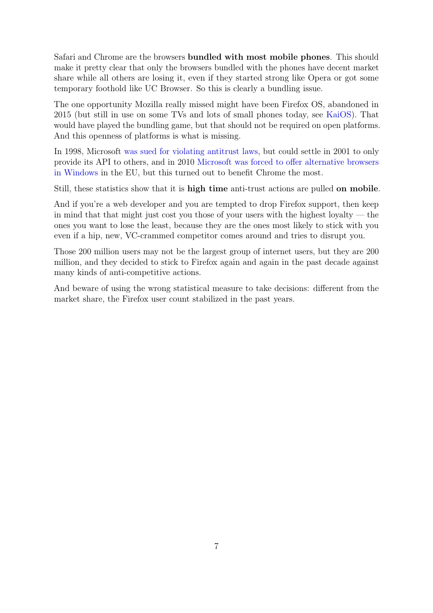Safari and Chrome are the browsers bundled with most mobile phones. This should make it pretty clear that only the browsers bundled with the phones have decent market share while all others are losing it, even if they started strong like Opera or got some temporary foothold like UC Browser. So this is clearly a bundling issue.

The one opportunity Mozilla really missed might have been Firefox OS, abandoned in 2015 (but still in use on some TVs and lots of small phones today, see [KaiOS\)](https://en.wikipedia.org/wiki/KaiOS). That would have played the bundling game, but that should not be required on open platforms. And this openness of platforms is what is missing.

In 1998, Microsoft [was sued for violating antitrust laws,](https://en.wikipedia.org/wiki/United_States_v._Microsoft_Corp.) but could settle in 2001 to only provide its API to others, and in 2010 [Microsoft was forced to offer alternative browsers](https://www.theguardian.com/technology/2010/mar/02/microsoft) [in Windows](https://www.theguardian.com/technology/2010/mar/02/microsoft) in the EU, but this turned out to benefit Chrome the most.

Still, these statistics show that it is high time anti-trust actions are pulled on mobile.

And if you're a web developer and you are tempted to drop Firefox support, then keep in mind that that might just cost you those of your users with the highest loyalty — the ones you want to lose the least, because they are the ones most likely to stick with you even if a hip, new, VC-crammed competitor comes around and tries to disrupt you.

Those 200 million users may not be the largest group of internet users, but they are 200 million, and they decided to stick to Firefox again and again in the past decade against many kinds of anti-competitive actions.

And beware of using the wrong statistical measure to take decisions: different from the market share, the Firefox user count stabilized in the past years.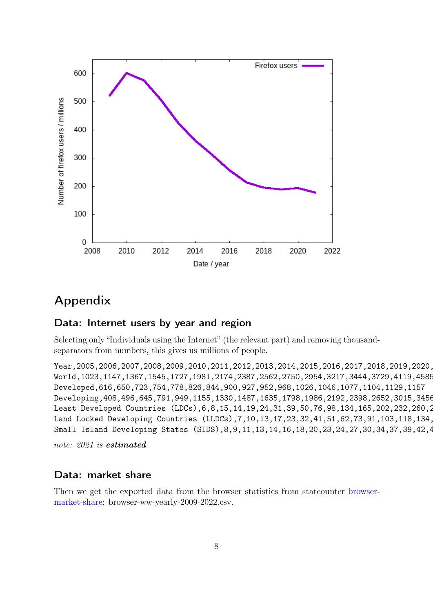

# Appendix

### Data: Internet users by year and region

Selecting only "Individuals using the Internet" (the relevant part) and removing thousandseparators from numbers, this gives us millions of people.

Year, 2005, 2006, 2007, 2008, 2009, 2010, 2011, 2012, 2013, 2014, 2015, 2016, 2017, 2018, 2019, 2020, World,1023,1147,1367,1545,1727,1981,2174,2387,2562,2750,2954,3217,3444,3729,4119,4585 Developed,616,650,723,754,778,826,844,900,927,952,968,1026,1046,1077,1104,1129,1157 Developing,408,496,645,791,949,1155,1330,1487,1635,1798,1986,2192,2398,2652,3015,3456 Least Developed Countries (LDCs), 6, 8, 15, 14, 19, 24, 31, 39, 50, 76, 98, 134, 165, 202, 232, 260, 2 Land Locked Developing Countries (LLDCs), 7, 10, 13, 17, 23, 32, 41, 51, 62, 73, 91, 103, 118, 134, Small Island Developing States (SIDS), 8, 9, 11, 13, 14, 16, 18, 20, 23, 24, 27, 30, 34, 37, 39, 42, 4

note: 2021 is **estimated**.

#### Data: market share

Then we get the exported data from the browser statistics from statcounter [browser](https://gs.statcounter.com/browser-market-share#yearly-2009-2022)[market-share:](https://gs.statcounter.com/browser-market-share#yearly-2009-2022) browser-ww-yearly-2009-2022.csv.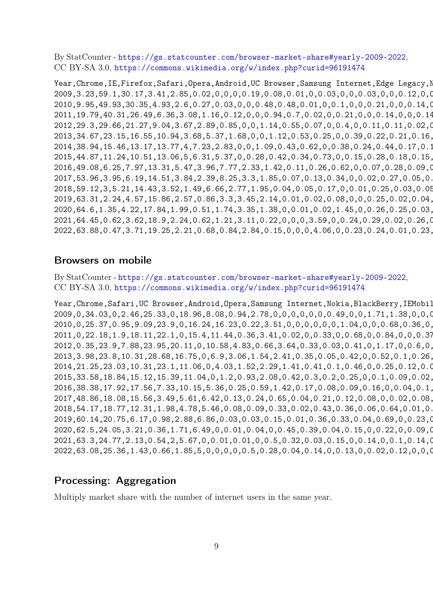By StatCounter - <https://gs.statcounter.com/browser-market-share#yearly-2009-2022>, CC BY-SA 3.0, <https://commons.wikimedia.org/w/index.php?curid=96191474>

Year, Chrome, IE, Firefox, Safari, Opera, Android, UC Browser, Samsung Internet, Edge Legacy, N 2009,3.23,59.1,30.17,3.41,2.85,0.02,0,0,0,0.19,0.08,0.01,0,0.03,0,0,0.03,0,0,0.12,0,0,0,0,0.32,0,0,0,0,0,0.2,0.03,0.02,0,0,0.01,0,0,0,0.17 2010,9.95,49.93,30.35,4.93,2.6,0.27,0.03,0,0,0.48,0.48,0.01,0,0.1,0,0,0.21,0,0,0.14,0 2011,19.79,40.31,26.49,6.36,3.08,1.16,0.12,0,0,0.94,0.7,0.02,0,0.21,0,0,0.14,0,0,0.14,0.04,0,0.02,0,0.04,0,0,0.04,0,0.05,0.02,0.02,0.02,0,0,0.02,0,0.04,0.03,0.19 2012,29.3,29.66,21.27,9.04,3.67,2.89,0.85,0,0,1.14,0.55,0.07,0,0.4,0,0.11,0.11,0.02,0 2013,34.67,23.15,16.55,10.94,3.68,5.37,1.68,0,0,1.12,0.53,0.25,0,0.39,0.22,0.21,0.16,0.05,0.13,0.09,0.06,0.14,0.08,0,0.01,0.03,0,0.08,0,0.04,0,0.02,0.02,0.03,0,0.01,0.03,0.02,0.02,0.21 2014,38.94,15.46,13.17,13.77,4,7.23,2.83,0,0,1.09,0.43,0.62,0,0.38,0.24,0.44,0.17,0.11,0.13,0.05,0.07,0.17,0.13,0.03,0.02,0.06,0,0.07,0.01,0.02,0,0.01,0.04,0.03,0,0.02,0.02,0.01,0.01,0.22 2015,44.87,11.24,10.51,13.06,5,6.31,5.37,0,0.28,0.42,0.34,0.73,0,0.15,0.28,0.18,0.15,0.16,0.13,0.02,0.09,0.12,0.09,0.07,0.02,0.05,0,0.04,0.04,0.01,0,0.02,0.02,0.03,0,0.02,0.02,0.01,0.01,0.19 2016,49.08,6.25,7.97,13.31,5.47,3.96,7.77,2.33,1.42,0.11,0.26,0.62,0,0.07,0.28,0.09,0.1,0.09,0.08,0.01,0.08,0.01,0.07,0.14,0.02,0.07,0,0.02,0.07,0,0,0.01,0.01,0.03,0,0.02,0.02,0,0,0.15 2017,53.96,3.95,6.19,14.51,3.84,2.39,8.25,3.3,1.85,0.07,0.13,0.34,0,0.02,0.27,0.05,0.06,0.12,0.07,0.01,0.07,0,0.04,0.13,0.02,0.06,0,0.01,0.09,0,0,0.01,0,0.03,0,0.01,0.01,0,0,0.14 2018,59.12,3,5.21,14.43,3.52,1.49,6.66,2.77,1.95,0.04,0.05,0.17,0,0.01,0.25,0.03,0.05,0.28,0.06,0.01,0.07,0,0.03,0.11,0.02,0.09,0.33,0,0.07,0,0,0.01,0,0.02,0.01,0.01,0.01,0,0,0.13 2019,63.31,2.24,4.57,15.86,2.57,0.86,3.3,3.45,2.14,0.01,0.02,0.08,0,0,0.25,0.02,0.04,0.25,0.06,0,0.08,0,0.02,0.12,0.04,0.13,0.35,0,0.06,0,0,0,0,0,0.07,0,0.01,0,0,0.1 2020,64.6,1.35,4.22,17.84,1.99,0.51,1.74,3.35,1.38,0,0.01,0.02,1.45,0,0.26,0.25,0.03,0.28,0.06,0,0.04,0,0.02,0.09,0.09,0.12,0.08,0,0.05,0,0,0,0,0,0.11,0,0.01,0,0,0.03 2021,64.45,0.62,3.62,18.9,2.24,0.62,1.21,3.11,0.22,0,0,0,3.59,0,0.24,0.29,0.02,0.26,0.05,0,0.02,0,0.02,0.04,0.08,0.08,0.08,0,0.04,0,0,0,0,0,0.12,0,0.01,0,0,0.02 2022,63.88,0.47,3.71,19.25,2.21,0.68,0.84,2.84,0.15,0,0,0,4.06,0,0.23,0.24,0.01,0.23,0.05,0,0.02,0,0.02,0.06,0.08,0.08,0.08,0,0.03,0,0,0,0,0,0.11,0,0.01,0,0,0.67

#### Browsers on mobile

By StatCounter - <https://gs.statcounter.com/browser-market-share#yearly-2009-2022>, CC BY-SA 3.0, <https://commons.wikimedia.org/w/index.php?curid=96191474>

Year, Chrome, Safari, UC Browser, Android, Opera, Samsung Internet, Nokia, BlackBerry, IEMobil 2009,0,34.03,0,2.46,25.33,0,18.96,8.08,0.94,2.78,0,0,0,0,0,0,0.49,0,0,1.71,1.38,0,0,0 2010,0,25.37,0.95,9.09,23.9,0,16.24,16.23,0.22,3.51,0,0,0,0,0,0,1.04,0,0,0.68,0.36,0, 2011,0,22.18,1.9,18.11,22.1,0,15.4,11.44,0.36,3.41,0.02,0,0.33,0,0.68,0,0.84,0,0,0.37,0.38,0.62,0.57,0,0,0.28,0,0,0,0,0,0,0.01,0.31,0.7 2012,0.35,23.9,7.88,23.95,20.11,0,10.58,4.83,0.66,3.64,0.33,0.03,0.41,0,1.17,0,0.6,0, 2013,3.98,23.8,10.31,28.68,16.75,0,6.9,3.06,1.54,2.41,0.35,0.05,0.42,0,0.52,0.1,0.26, 2014,21.25,23.03,10.31,23.1,11.06,0,4.03,1.52,2.29,1.41,0.41,0.1,0.46,0,0.25,0.12,0.07,0,0.02,0.13,0.08,0.05,0.05,0,0,0.01,0,0.06,0.04,0.05,0.01,0,0.02,0,0.08 2015,33.58,18.84,15.12,15.39,11.04,0,1.2,0.93,2.08,0.42,0.3,0.2,0.25,0,0.1,0.09,0.02,0.01,0.04,0.05,0.05,0.02,0.01,0,0,0,0.04,0.03,0.07,0.04,0.03,0,0.01,0,0.03 2016,38.38,17.92,17.56,7.33,10.15,5.36,0.25,0.59,1.42,0.17,0.08,0.09,0.16,0,0.04,0.1,0.01,0.11,0.05,0.02,0.04,0.01,0.01,0,0,0,0.03,0.01,0.03,0.02,0.04,0,0,0,0.01 2017,48.86,18.08,15.56,3.49,5.61,6.42,0.13,0.24,0.65,0.04,0.21,0.12,0.08,0,0.02,0.08,0,0.14,0.08,0.01,0.02,0,0,0,0,0,0.09,0.01,0.02,0.01,0.02,0,0,0,0.01 2018,54.17,18.77,12.31,1.98,4.78,5.46,0.08,0.09,0.33,0.02,0.43,0.36,0.06,0.64,0.01,0.14,0,0.1,0.1,0,0.01,0,0,0,0,0,0.03,0.01,0.01,0.01,0.01,0.08,0,0,0.01 2019,60.14,20.75,6.17,0.98,2.88,6.86,0.03,0.03,0.15,0.01,0.36,0.33,0.04,0.69,0,0.23,0 2020,62.5,24.05,3.21,0.36,1.71,6.49,0,0.01,0.04,0,0.45,0.39,0.04,0.15,0,0.22,0,0.09,0 2021,63.3,24.77,2.13,0.54,2,5.67,0,0.01,0.01,0,0.5,0.32,0.03,0.15,0,0.14,0,0.1,0.14,0 2022,63.08,25.36,1.43,0.66,1.85,5,0,0,0,0,0.5,0.28,0.04,0.14,0,0.13,0,0.02,0.12,0,0,0

## Processing: Aggregation

Multiply market share with the number of internet users in the same year.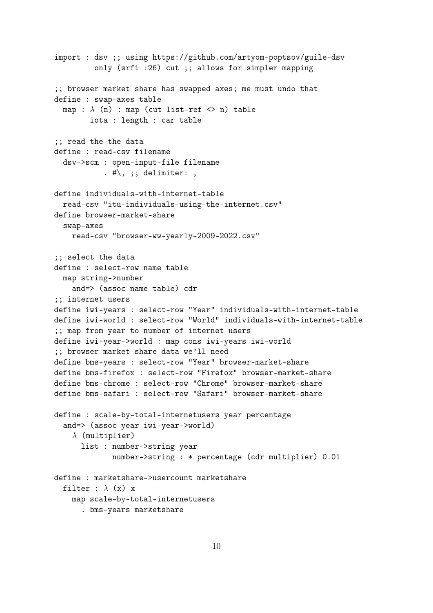```
import : dsv ;; using https://github.com/artyom-poptsov/guile-dsv
         only (srfi :26) cut ;; allows for simpler mapping
;; browser market share has swapped axes; me must undo that
define : swap-axes table
  map : \lambda (n) : map (cut list-ref \langle > n) table
        iota : length : car table
;; read the the data
define : read-csv filename
  dsv->scm : open-input-file filename
           . \#\, ;; delimiter: ,
define individuals-with-internet-table
  read-csv "itu-individuals-using-the-internet.csv"
define browser-market-share
  swap-axes
    read-csv "browser-ww-yearly-2009-2022.csv"
;; select the data
define : select-row name table
  map string->number
    and=> (assoc name table) cdr
;; internet users
define iwi-years : select-row "Year" individuals-with-internet-table
define iwi-world : select-row "World" individuals-with-internet-table
;; map from year to number of internet users
define iwi-year->world : map cons iwi-years iwi-world
;; browser market share data we'll need
define bms-years : select-row "Year" browser-market-share
define bms-firefox : select-row "Firefox" browser-market-share
define bms-chrome : select-row "Chrome" browser-market-share
define bms-safari : select-row "Safari" browser-market-share
define : scale-by-total-internetusers year percentage
  and=> (assoc year iwi-year->world)
    \lambda (multiplier)
      list : number->string year
             number->string : * percentage (cdr multiplier) 0.01
define : marketshare->usercount marketshare
  filter : \lambda (x) x
    map scale-by-total-internetusers
      . bms-years marketshare
```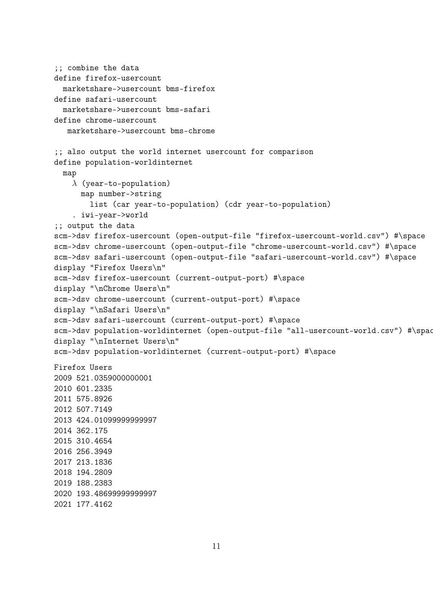```
;; combine the data
define firefox-usercount
 marketshare->usercount bms-firefox
define safari-usercount
 marketshare->usercount bms-safari
define chrome-usercount
  marketshare->usercount bms-chrome
;; also output the world internet usercount for comparison
define population-worldinternet
 map
    \lambda (year-to-population)
      map number->string
        list (car year-to-population) (cdr year-to-population)
    . iwi-year->world
;; output the data
scm->dsv firefox-usercount (open-output-file "firefox-usercount-world.csv") #\space
scm->dsv chrome-usercount (open-output-file "chrome-usercount-world.csv") #\space
scm->dsv safari-usercount (open-output-file "safari-usercount-world.csv") #\space
display "Firefox Users\n"
scm->dsv firefox-usercount (current-output-port) #\space
display "\nChrome Users\n"
scm->dsv chrome-usercount (current-output-port) #\space
display "\nSafari Users\n"
scm->dsv safari-usercount (current-output-port) #\space
scm->dsv population-worldinternet (open-output-file "all-usercount-world.csv") #\spac
display "\nInternet Users\n"
scm->dsv population-worldinternet (current-output-port) #\space
Firefox Users
2009 521.0359000000001
2010 601.2335
2011 575.8926
2012 507.7149
2013 424.01099999999997
2014 362.175
2015 310.4654
2016 256.3949
2017 213.1836
2018 194.2809
2019 188.2383
2020 193.48699999999997
2021 177.4162
```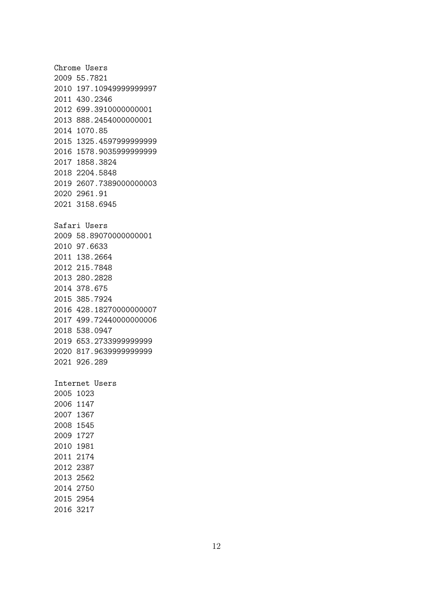Chrome Users 2009 55.7821 2010 197.10949999999997 2011 430.2346 2012 699.3910000000001 2013 888.2454000000001 2014 1070.85 2015 1325.4597999999999 2016 1578.9035999999999 2017 1858.3824 2018 2204.5848 2019 2607.7389000000003 2020 2961.91 2021 3158.6945 Safari Users 2009 58.89070000000001 2010 97.6633 2011 138.2664 2012 215.7848 2013 280.2828 2014 378.675 2015 385.7924 2016 428.18270000000007 2017 499.72440000000006 2018 538.0947 2019 653.2733999999999 2020 817.9639999999999 2021 926.289 Internet Users 2005 1023 2006 1147 2007 1367 2008 1545 2009 1727 2010 1981 2011 2174 2012 2387 2013 2562 2014 2750 2015 2954

2016 3217